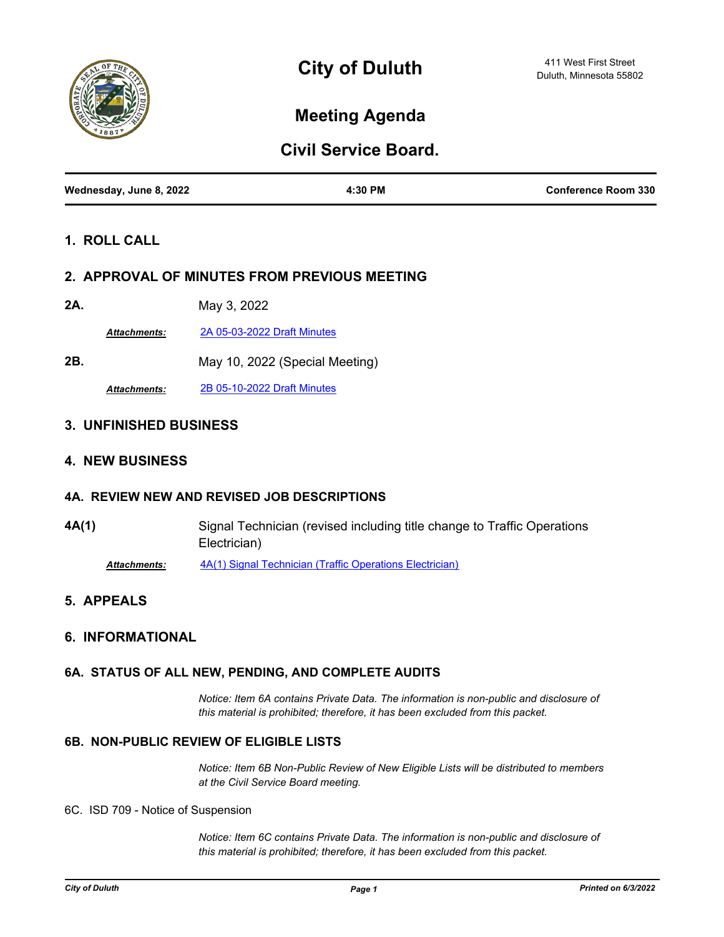

# **Meeting Agenda**

## **Civil Service Board.**

| Wednesday, June 8, 2022 | 4:30 PM | <b>Conference Room 330</b> |
|-------------------------|---------|----------------------------|
|                         |         |                            |

### **1. ROLL CALL**

#### **2. APPROVAL OF MINUTES FROM PREVIOUS MEETING**

**2A.** May 3, 2022

*Attachments:* [2A 05-03-2022 Draft Minutes](http://duluth-mn.legistar.com/gateway.aspx?M=F&ID=9d7c9a6a-6c76-41c4-8b2d-0a5115943344.pdf)

**2B.** May 10, 2022 (Special Meeting)

*Attachments:* [2B 05-10-2022 Draft Minutes](http://duluth-mn.legistar.com/gateway.aspx?M=F&ID=02f45050-6a71-443d-8f43-d082865bb875.pdf)

#### **3. UNFINISHED BUSINESS**

#### **4. NEW BUSINESS**

#### **4A. REVIEW NEW AND REVISED JOB DESCRIPTIONS**

**4A(1)** Signal Technician (revised including title change to Traffic Operations Electrician) *Attachments:* [4A\(1\) Signal Technician \(Traffic Operations Electrician\)](http://duluth-mn.legistar.com/gateway.aspx?M=F&ID=f0824765-553c-428b-9ac7-14847f0680f9.pdf)

#### **5. APPEALS**

#### **6. INFORMATIONAL**

#### **6A. STATUS OF ALL NEW, PENDING, AND COMPLETE AUDITS**

*Notice: Item 6A contains Private Data. The information is non-public and disclosure of this material is prohibited; therefore, it has been excluded from this packet.*

#### **6B. NON-PUBLIC REVIEW OF ELIGIBLE LISTS**

*Notice: Item 6B Non-Public Review of New Eligible Lists will be distributed to members at the Civil Service Board meeting.*

#### 6C. ISD 709 - Notice of Suspension

*Notice: Item 6C contains Private Data. The information is non-public and disclosure of this material is prohibited; therefore, it has been excluded from this packet.*